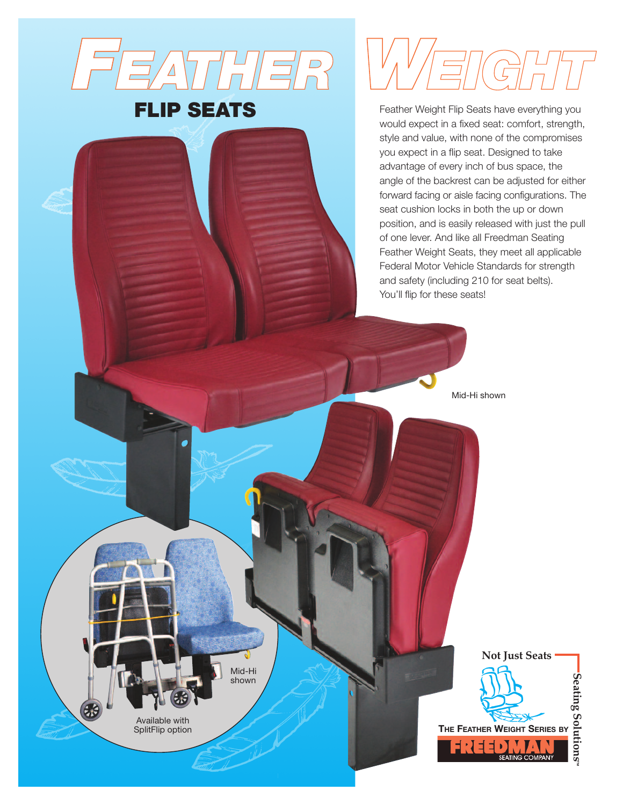

# **FLIP SEATS**

Feather Weight Flip Seats have everything you would expect in a fixed seat: comfort, strength, style and value, with none of the compromises you expect in a flip seat. Designed to take advantage of every inch of bus space, the angle of the backrest can be adjusted for either forward facing or aisle facing configurations. The seat cushion locks in both the up or down position, and is easily released with just the pull of one lever. And like all Freedman Seating Feather Weight Seats, they meet all applicable Federal Motor Vehicle Standards for strength and safety (including 210 for seat belts). You'll flip for these seats!

Mid-Hi shown

Mid-Hi shown

Available with SplitFlip option